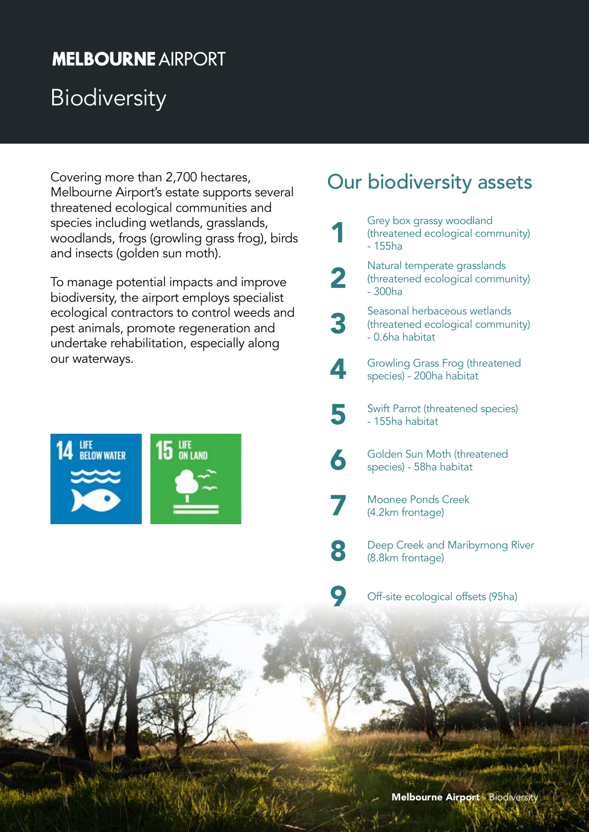# **MELBOURNE AIRPORT**

# **Biodiversity**

Covering more than 2,700 hectares, Melbourne Airport's estate supports several threatened ecological communities and species including wetlands, grasslands, woodlands, frogs (growling grass frog), birds and insects (golden sun moth).

To manage potential impacts and improve biodiversity, the airport employs specialist ecological contractors to control weeds and pest animals, promote regeneration and undertake rehabilitation, especially along our waterways.



## Our biodiversity assets

Grey box grassy woodland<br>
threatened ecological com<br>
-155ha (threatened ecological community) - 155ha **2** Natural temperate grasslands<br>
(threatened ecological commu<br>
- 300ha (threatened ecological community) - 300ha Seasonal herbaceous wetlands<br>
threatened ecological commun<br>
- 0.6ha habitat (threatened ecological community) - 0.6ha habitat Growling Grass Frog (threatened species) - 200ha habitat 5 Swift Parrot (threatened species) - 155ha habitat Golden Sun Moth (threatened species) - 58ha habitat Moonee Ponds Creek<br>
(4.2km frontage) **8 Deep Creek and Maribyrnong River** (8.8km frontage) Off-site ecological offsets (95ha)

Melbourne Airport - Biodiversity